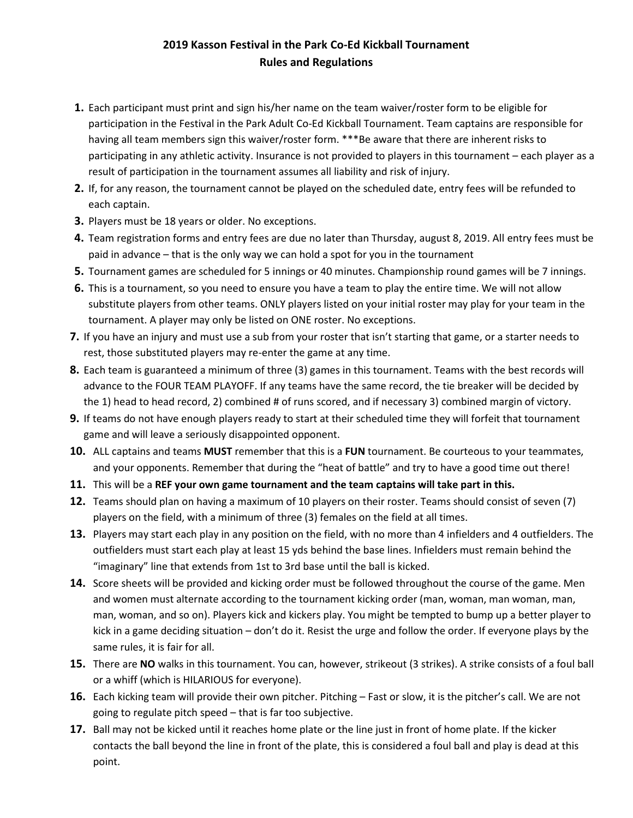## **2019 Kasson Festival in the Park Co-Ed Kickball Tournament Rules and Regulations**

- **1.** Each participant must print and sign his/her name on the team waiver/roster form to be eligible for participation in the Festival in the Park Adult Co-Ed Kickball Tournament. Team captains are responsible for having all team members sign this waiver/roster form. \*\*\*Be aware that there are inherent risks to participating in any athletic activity. Insurance is not provided to players in this tournament – each player as a result of participation in the tournament assumes all liability and risk of injury.
- **2.** If, for any reason, the tournament cannot be played on the scheduled date, entry fees will be refunded to each captain.
- **3.** Players must be 18 years or older. No exceptions.
- **4.** Team registration forms and entry fees are due no later than Thursday, august 8, 2019. All entry fees must be paid in advance – that is the only way we can hold a spot for you in the tournament
- **5.** Tournament games are scheduled for 5 innings or 40 minutes. Championship round games will be 7 innings.
- **6.** This is a tournament, so you need to ensure you have a team to play the entire time. We will not allow substitute players from other teams. ONLY players listed on your initial roster may play for your team in the tournament. A player may only be listed on ONE roster. No exceptions.
- **7.** If you have an injury and must use a sub from your roster that isn't starting that game, or a starter needs to rest, those substituted players may re-enter the game at any time.
- **8.** Each team is guaranteed a minimum of three (3) games in this tournament. Teams with the best records will advance to the FOUR TEAM PLAYOFF. If any teams have the same record, the tie breaker will be decided by the 1) head to head record, 2) combined # of runs scored, and if necessary 3) combined margin of victory.
- **9.** If teams do not have enough players ready to start at their scheduled time they will forfeit that tournament game and will leave a seriously disappointed opponent.
- **10.** ALL captains and teams **MUST** remember that this is a **FUN** tournament. Be courteous to your teammates, and your opponents. Remember that during the "heat of battle" and try to have a good time out there!
- **11.** This will be a **REF your own game tournament and the team captains will take part in this.**
- **12.** Teams should plan on having a maximum of 10 players on their roster. Teams should consist of seven (7) players on the field, with a minimum of three (3) females on the field at all times.
- **13.** Players may start each play in any position on the field, with no more than 4 infielders and 4 outfielders. The outfielders must start each play at least 15 yds behind the base lines. Infielders must remain behind the "imaginary" line that extends from 1st to 3rd base until the ball is kicked.
- **14.** Score sheets will be provided and kicking order must be followed throughout the course of the game. Men and women must alternate according to the tournament kicking order (man, woman, man woman, man, man, woman, and so on). Players kick and kickers play. You might be tempted to bump up a better player to kick in a game deciding situation – don't do it. Resist the urge and follow the order. If everyone plays by the same rules, it is fair for all.
- **15.** There are **NO** walks in this tournament. You can, however, strikeout (3 strikes). A strike consists of a foul ball or a whiff (which is HILARIOUS for everyone).
- **16.** Each kicking team will provide their own pitcher. Pitching Fast or slow, it is the pitcher's call. We are not going to regulate pitch speed – that is far too subjective.
- **17.** Ball may not be kicked until it reaches home plate or the line just in front of home plate. If the kicker contacts the ball beyond the line in front of the plate, this is considered a foul ball and play is dead at this point.